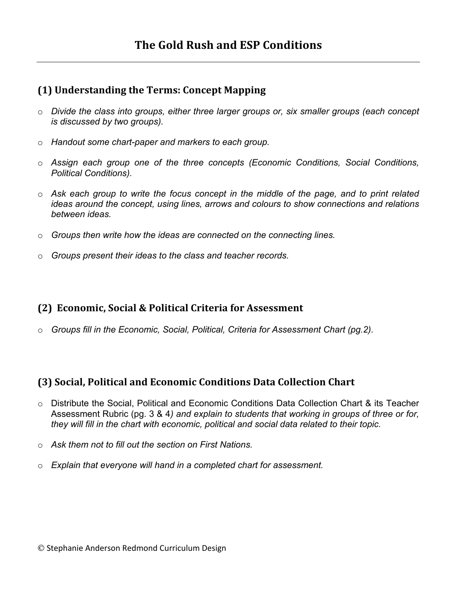#### **(1) Understanding the Terms: Concept Mapping**

- o *Divide the class into groups, either three larger groups or, six smaller groups (each concept is discussed by two groups).*
- o *Handout some chart-paper and markers to each group.*
- o *Assign each group one of the three concepts (Economic Conditions, Social Conditions, Political Conditions).*
- o *Ask each group to write the focus concept in the middle of the page, and to print related ideas around the concept, using lines, arrows and colours to show connections and relations between ideas.*
- o *Groups then write how the ideas are connected on the connecting lines.*
- o *Groups present their ideas to the class and teacher records.*

### **(2) Economic, Social & Political Criteria for Assessment**

o *Groups fill in the Economic, Social, Political, Criteria for Assessment Chart (pg.2).*

### **(3) Social, Political and Economic Conditions Data Collection Chart**

- o Distribute the Social, Political and Economic Conditions Data Collection Chart & its Teacher Assessment Rubric (pg. 3 & 4*) and explain to students that working in groups of three or for, they will fill in the chart with economic, political and social data related to their topic.*
- o *Ask them not to fill out the section on First Nations.*
- o *Explain that everyone will hand in a completed chart for assessment.*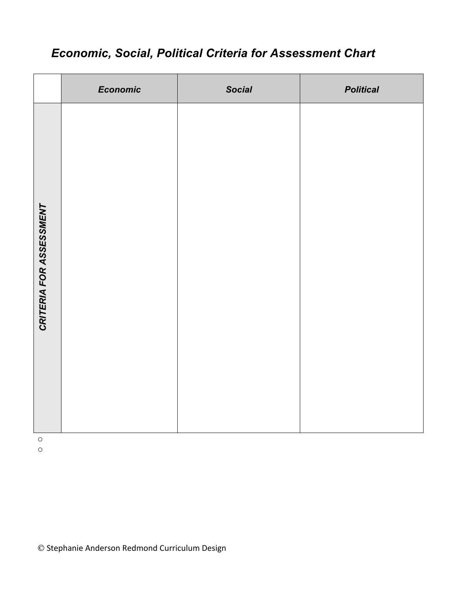## *Economic, Social, Political Criteria for Assessment Chart*

|                         | Economic | <b>Social</b> | <b>Political</b> |
|-------------------------|----------|---------------|------------------|
| CRITERIA FOR ASSESSMENT |          |               |                  |

o

o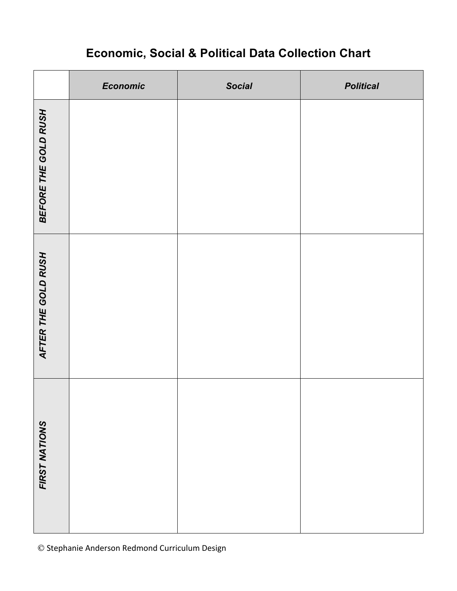# **Economic, Social & Political Data Collection Chart**

|                      | Economic | <b>Social</b> | <b>Political</b> |
|----------------------|----------|---------------|------------------|
| BEFORE THE GOLD RUSH |          |               |                  |
| AFTER THE GOLD RUSH  |          |               |                  |
| FIRST NATIONS        |          |               |                  |

 $©$  Stephanie Anderson Redmond Curriculum Design